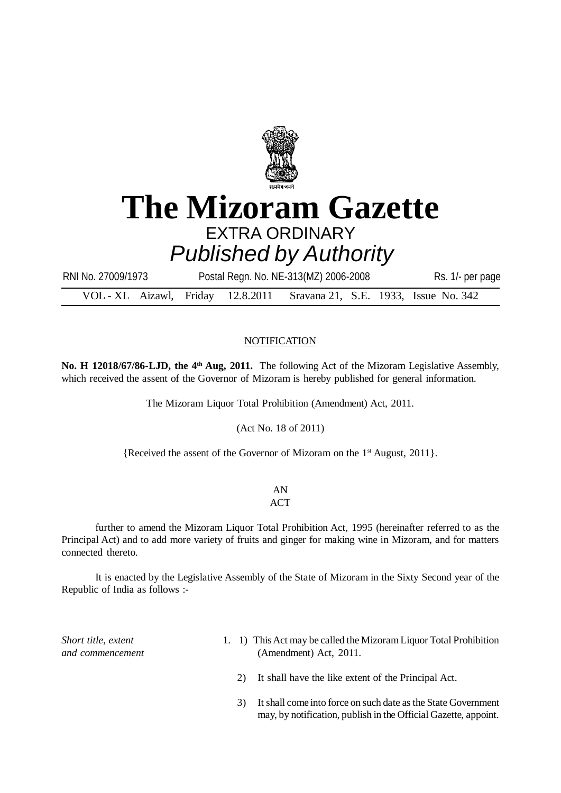

## **The Mizoram Gazette** EXTRA ORDINARY *Published by Authority*

VOL - XL Aizawl, Friday 12.8.2011 Sravana 21, S.E. 1933, Issue No. 342 RNI No. 27009/1973 Postal Regn. No. NE-313(MZ) 2006-2008 Rs. 1/- per page

## **NOTIFICATION**

**No. H 12018/67/86-LJD, the 4th Aug, 2011.** The following Act of the Mizoram Legislative Assembly, which received the assent of the Governor of Mizoram is hereby published for general information.

The Mizoram Liquor Total Prohibition (Amendment) Act, 2011.

(Act No. 18 of 2011)

{Received the assent of the Governor of Mizoram on the 1st August, 2011}.

AN

## **ACT**

further to amend the Mizoram Liquor Total Prohibition Act, 1995 (hereinafter referred to as the Principal Act) and to add more variety of fruits and ginger for making wine in Mizoram, and for matters connected thereto.

It is enacted by the Legislative Assembly of the State of Mizoram in the Sixty Second year of the Republic of India as follows :-

*Short title, extent and commencement*

- 1. 1) This Act may be called the Mizoram Liquor Total Prohibition (Amendment) Act, 2011.
	- 2) It shall have the like extent of the Principal Act.
	- 3) It shall come into force on such date as the State Government may, by notification, publish in the Official Gazette, appoint.